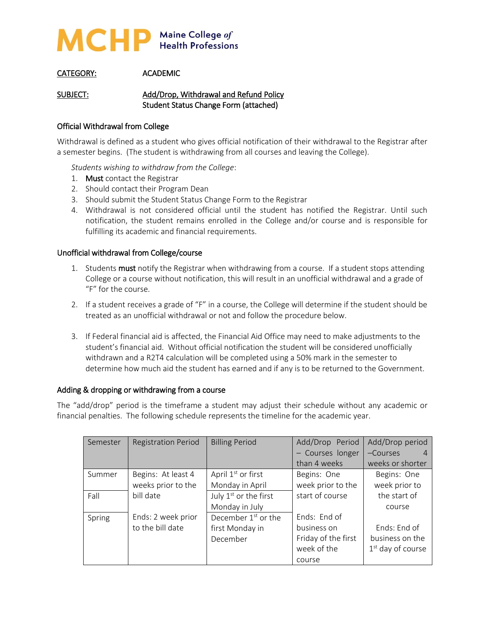

# CATEGORY: ACADEMIC

SUBJECT: Add/Drop, Withdrawal and Refund Policy Student Status Change Form (attached)

## Official Withdrawal from College

Withdrawal is defined as a student who gives official notification of their withdrawal to the Registrar after a semester begins. (The student is withdrawing from all courses and leaving the College).

*Students wishing to withdraw from the College*:

- 1. Must contact the Registrar
- 2. Should contact their Program Dean
- 3. Should submit the Student Status Change Form to the Registrar
- 4. Withdrawal is not considered official until the student has notified the Registrar. Until such notification, the student remains enrolled in the College and/or course and is responsible for fulfilling its academic and financial requirements.

## Unofficial withdrawal from College/course

- 1. Students must notify the Registrar when withdrawing from a course. If a student stops attending College or a course without notification, this will result in an unofficial withdrawal and a grade of "F" for the course.
- 2. If a student receives a grade of "F" in a course, the College will determine if the student should be treated as an unofficial withdrawal or not and follow the procedure below.
- 3. If Federal financial aid is affected, the Financial Aid Office may need to make adjustments to the student's financial aid. Without official notification the student will be considered unofficially withdrawn and a R2T4 calculation will be completed using a 50% mark in the semester to determine how much aid the student has earned and if any is to be returned to the Government.

## Adding & dropping or withdrawing from a course

The "add/drop" period is the timeframe a student may adjust their schedule without any academic or financial penalties. The following schedule represents the timeline for the academic year.

| Semester | <b>Registration Period</b> | <b>Billing Period</b>             | Add/Drop Period     | Add/Drop period     |
|----------|----------------------------|-----------------------------------|---------------------|---------------------|
|          |                            |                                   | - Courses longer    | $-Courses$          |
|          |                            |                                   | than 4 weeks        | weeks or shorter    |
| Summer   | Begins: At least 4         | April 1 <sup>st</sup> or first    | Begins: One         | Begins: One         |
|          | weeks prior to the         | Monday in April                   | week prior to the   | week prior to       |
| Fall     | bill date                  | July 1 <sup>st</sup> or the first | start of course     | the start of        |
|          |                            | Monday in July                    |                     | course              |
| Spring   | Ends: 2 week prior         | December $1st$ or the             | Fnds: Fnd of        |                     |
|          | to the bill date           | first Monday in                   | business on         | Fnds: End of        |
|          |                            | December                          | Friday of the first | business on the     |
|          |                            |                                   | week of the         | $1st$ day of course |
|          |                            |                                   | course              |                     |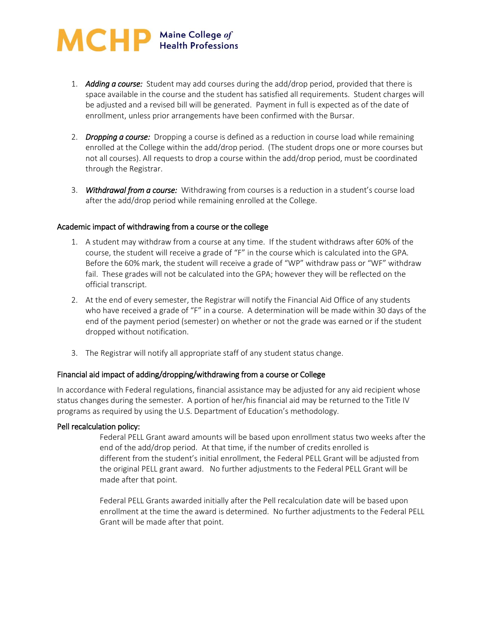# MCHP Maine College of

- 1. *Adding a course:* Student may add courses during the add/drop period, provided that there is space available in the course and the student has satisfied all requirements. Student charges will be adjusted and a revised bill will be generated. Payment in full is expected as of the date of enrollment, unless prior arrangements have been confirmed with the Bursar.
- 2. *Dropping a course:* Dropping a course is defined as a reduction in course load while remaining enrolled at the College within the add/drop period. (The student drops one or more courses but not all courses). All requests to drop a course within the add/drop period, must be coordinated through the Registrar.
- 3. *Withdrawal from a course:* Withdrawing from courses is a reduction in a student's course load after the add/drop period while remaining enrolled at the College.

## Academic impact of withdrawing from a course or the college

- 1. A student may withdraw from a course at any time. If the student withdraws after 60% of the course, the student will receive a grade of "F" in the course which is calculated into the GPA. Before the 60% mark, the student will receive a grade of "WP" withdraw pass or "WF" withdraw fail. These grades will not be calculated into the GPA; however they will be reflected on the official transcript.
- 2. At the end of every semester, the Registrar will notify the Financial Aid Office of any students who have received a grade of "F" in a course. A determination will be made within 30 days of the end of the payment period (semester) on whether or not the grade was earned or if the student dropped without notification.
- 3. The Registrar will notify all appropriate staff of any student status change.

# Financial aid impact of adding/dropping/withdrawing from a course or College

In accordance with Federal regulations, financial assistance may be adjusted for any aid recipient whose status changes during the semester. A portion of her/his financial aid may be returned to the Title IV programs as required by using the U.S. Department of Education's methodology.

## Pell recalculation policy:

Federal PELL Grant award amounts will be based upon enrollment status two weeks after the end of the add/drop period. At that time, if the number of credits enrolled is different from the student's initial enrollment, the Federal PELL Grant will be adjusted from the original PELL grant award. No further adjustments to the Federal PELL Grant will be made after that point.

Federal PELL Grants awarded initially after the Pell recalculation date will be based upon enrollment at the time the award is determined. No further adjustments to the Federal PELL Grant will be made after that point.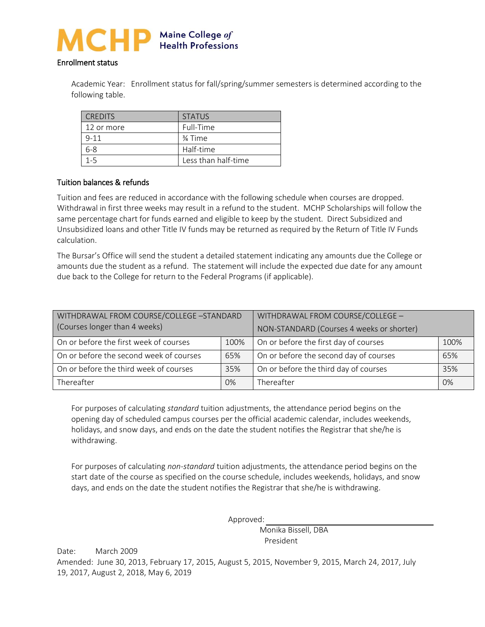

#### Enrollment status

Academic Year: Enrollment status for fall/spring/summer semesters is determined according to the following table.

| <b>CREDITS</b> | <b>STATUS</b>       |
|----------------|---------------------|
| 12 or more     | Full-Time           |
| $9 - 11$       | 3⁄4 Time            |
| $6 - 8$        | Half-time           |
| $1 - 5$        | Less than half-time |

## Tuition balances & refunds

Tuition and fees are reduced in accordance with the following schedule when courses are dropped. Withdrawal in first three weeks may result in a refund to the student. MCHP Scholarships will follow the same percentage chart for funds earned and eligible to keep by the student. Direct Subsidized and Unsubsidized loans and other Title IV funds may be returned as required by the Return of Title IV Funds calculation.

The Bursar's Office will send the student a detailed statement indicating any amounts due the College or amounts due the student as a refund. The statement will include the expected due date for any amount due back to the College for return to the Federal Programs (if applicable).

| WITHDRAWAL FROM COURSE/COLLEGE -STANDARD |  | WITHDRAWAL FROM COURSE/COLLEGE -          |    |  |
|------------------------------------------|--|-------------------------------------------|----|--|
| (Courses longer than 4 weeks)            |  | NON-STANDARD (Courses 4 weeks or shorter) |    |  |
| On or before the first week of courses   |  | On or before the first day of courses     |    |  |
| 100%                                     |  | 100%                                      |    |  |
| On or before the second week of courses  |  | On or before the second day of courses    |    |  |
| 65%                                      |  | 65%                                       |    |  |
| On or before the third week of courses   |  | On or before the third day of courses     |    |  |
| 35%                                      |  | 35%                                       |    |  |
| Thereafter<br>$0\%$                      |  | Thereafter                                | 0% |  |

For purposes of calculating *standard* tuition adjustments, the attendance period begins on the opening day of scheduled campus courses per the official academic calendar, includes weekends, holidays, and snow days, and ends on the date the student notifies the Registrar that she/he is withdrawing.

For purposes of calculating *non-standard* tuition adjustments, the attendance period begins on the start date of the course as specified on the course schedule, includes weekends, holidays, and snow days, and ends on the date the student notifies the Registrar that she/he is withdrawing.

Approved:

 Monika Bissell, DBA President

Date: March 2009 Amended: June 30, 2013, February 17, 2015, August 5, 2015, November 9, 2015, March 24, 2017, July 19, 2017, August 2, 2018, May 6, 2019